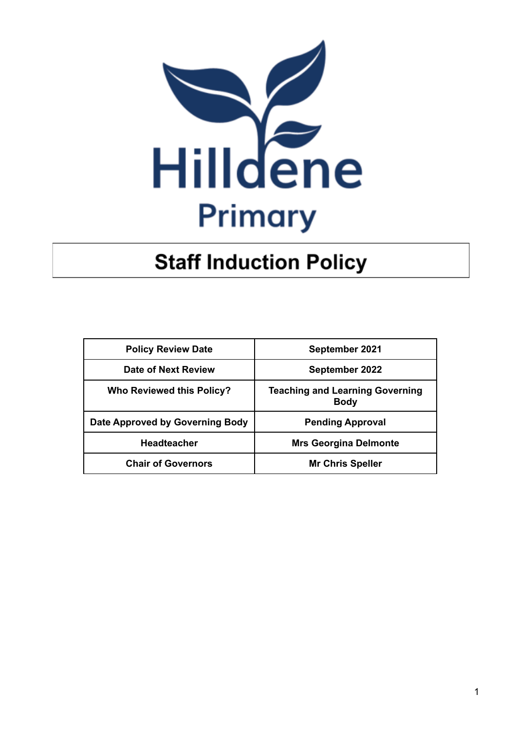

# **Staff Induction Policy**

| <b>Policy Review Date</b>        | September 2021                                        |  |
|----------------------------------|-------------------------------------------------------|--|
| Date of Next Review              | September 2022                                        |  |
| <b>Who Reviewed this Policy?</b> | <b>Teaching and Learning Governing</b><br><b>Body</b> |  |
| Date Approved by Governing Body  | <b>Pending Approval</b>                               |  |
| <b>Headteacher</b>               | <b>Mrs Georgina Delmonte</b>                          |  |
| <b>Chair of Governors</b>        | <b>Mr Chris Speller</b>                               |  |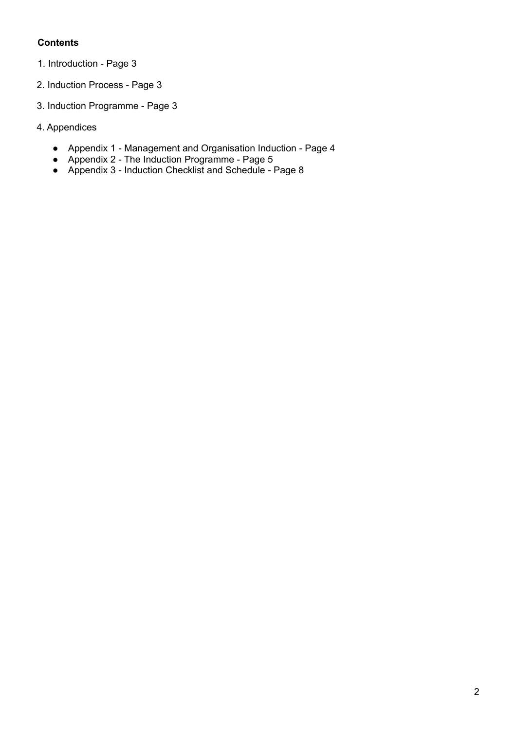## **Contents**

- 1. Introduction Page 3
- 2. Induction Process Page 3
- 3. Induction Programme Page 3
- 4. Appendices
	- Appendix 1 Management and Organisation Induction Page 4
	- Appendix 2 The Induction Programme Page 5
	- Appendix 3 Induction Checklist and Schedule Page 8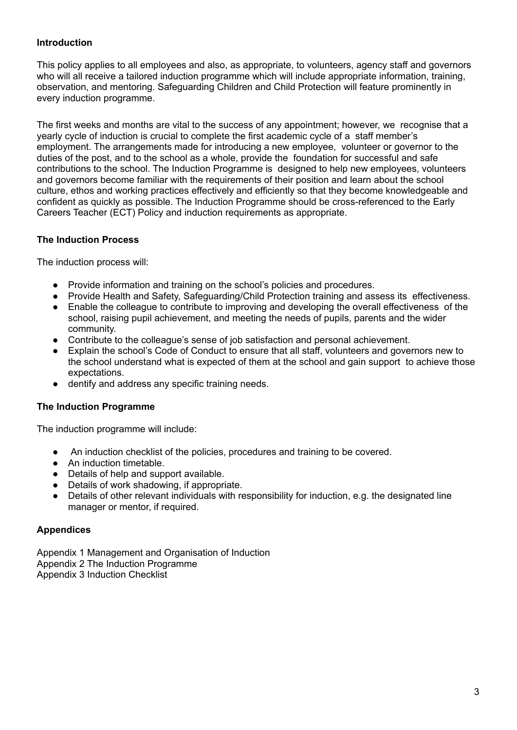## **Introduction**

This policy applies to all employees and also, as appropriate, to volunteers, agency staff and governors who will all receive a tailored induction programme which will include appropriate information, training, observation, and mentoring. Safeguarding Children and Child Protection will feature prominently in every induction programme.

The first weeks and months are vital to the success of any appointment; however, we recognise that a yearly cycle of induction is crucial to complete the first academic cycle of a staff member's employment. The arrangements made for introducing a new employee, volunteer or governor to the duties of the post, and to the school as a whole, provide the foundation for successful and safe contributions to the school. The Induction Programme is designed to help new employees, volunteers and governors become familiar with the requirements of their position and learn about the school culture, ethos and working practices effectively and efficiently so that they become knowledgeable and confident as quickly as possible. The Induction Programme should be cross-referenced to the Early Careers Teacher (ECT) Policy and induction requirements as appropriate.

## **The Induction Process**

The induction process will:

- Provide information and training on the school's policies and procedures.
- Provide Health and Safety, Safeguarding/Child Protection training and assess its effectiveness.
- Enable the colleague to contribute to improving and developing the overall effectiveness of the school, raising pupil achievement, and meeting the needs of pupils, parents and the wider community.
- Contribute to the colleague's sense of job satisfaction and personal achievement.
- Explain the school's Code of Conduct to ensure that all staff, volunteers and governors new to the school understand what is expected of them at the school and gain support to achieve those expectations.
- dentify and address any specific training needs.

#### **The Induction Programme**

The induction programme will include:

- An induction checklist of the policies, procedures and training to be covered.
- An induction timetable.
- Details of help and support available.
- Details of work shadowing, if appropriate.
- Details of other relevant individuals with responsibility for induction, e.g. the designated line manager or mentor, if required.

#### **Appendices**

Appendix 1 Management and Organisation of Induction Appendix 2 The Induction Programme Appendix 3 Induction Checklist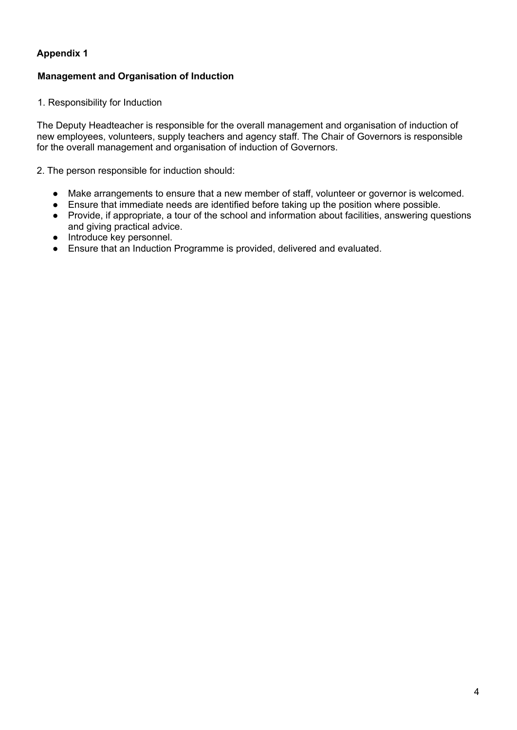## **Appendix 1**

## **Management and Organisation of Induction**

1. Responsibility for Induction

The Deputy Headteacher is responsible for the overall management and organisation of induction of new employees, volunteers, supply teachers and agency staff. The Chair of Governors is responsible for the overall management and organisation of induction of Governors.

2. The person responsible for induction should:

- Make arrangements to ensure that a new member of staff, volunteer or governor is welcomed.
- Ensure that immediate needs are identified before taking up the position where possible.
- Provide, if appropriate, a tour of the school and information about facilities, answering questions and giving practical advice.
- Introduce key personnel.
- Ensure that an Induction Programme is provided, delivered and evaluated.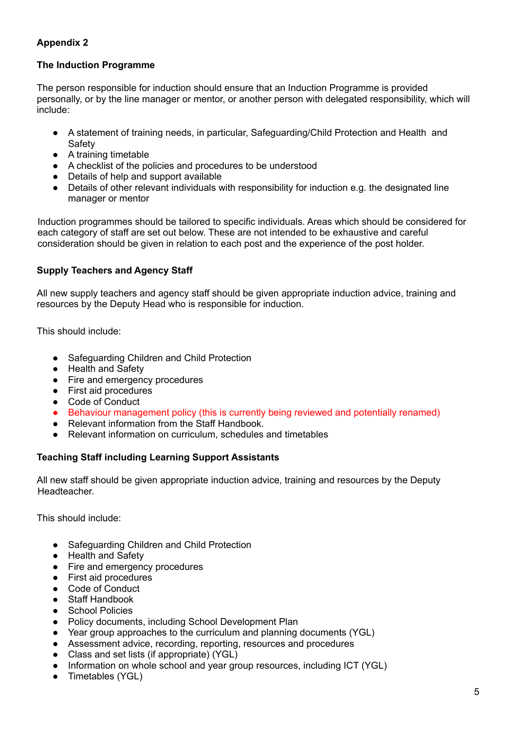## **Appendix 2**

#### **The Induction Programme**

The person responsible for induction should ensure that an Induction Programme is provided personally, or by the line manager or mentor, or another person with delegated responsibility, which will include:

- A statement of training needs, in particular, Safeguarding/Child Protection and Health and Safety
- A training timetable
- A checklist of the policies and procedures to be understood
- Details of help and support available
- Details of other relevant individuals with responsibility for induction e.g. the designated line manager or mentor

Induction programmes should be tailored to specific individuals. Areas which should be considered for each category of staff are set out below. These are not intended to be exhaustive and careful consideration should be given in relation to each post and the experience of the post holder.

#### **Supply Teachers and Agency Staff**

All new supply teachers and agency staff should be given appropriate induction advice, training and resources by the Deputy Head who is responsible for induction.

This should include:

- Safeguarding Children and Child Protection
- Health and Safety
- Fire and emergency procedures
- First aid procedures
- Code of Conduct
- Behaviour management policy (this is currently being reviewed and potentially renamed)
- **Relevant information from the Staff Handbook.**
- Relevant information on curriculum, schedules and timetables

#### **Teaching Staff including Learning Support Assistants**

All new staff should be given appropriate induction advice, training and resources by the Deputy Headteacher.

This should include:

- Safeguarding Children and Child Protection
- Health and Safety
- Fire and emergency procedures
- First aid procedures
- Code of Conduct
- Staff Handbook
- **School Policies**
- Policy documents, including School Development Plan
- Year group approaches to the curriculum and planning documents (YGL)
- Assessment advice, recording, reporting, resources and procedures
- Class and set lists (if appropriate) (YGL)
- Information on whole school and year group resources, including ICT (YGL)
- Timetables (YGL)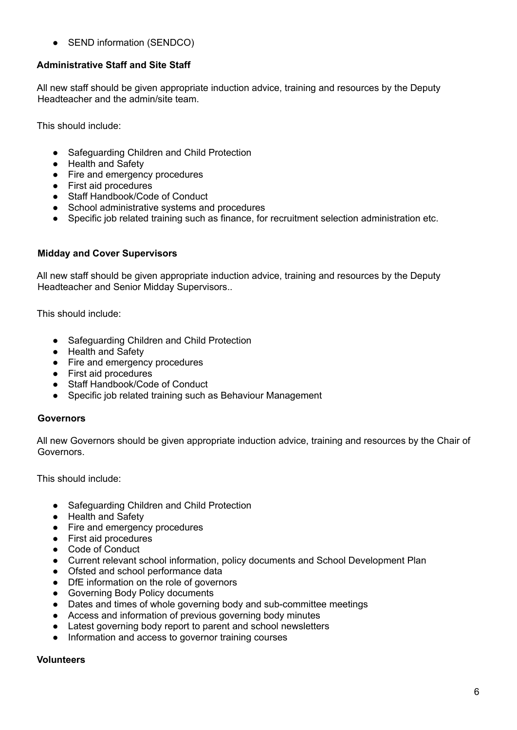• SEND information (SENDCO)

## **Administrative Staff and Site Staff**

All new staff should be given appropriate induction advice, training and resources by the Deputy Headteacher and the admin/site team.

This should include:

- Safequarding Children and Child Protection
- Health and Safety
- Fire and emergency procedures
- First aid procedures
- Staff Handbook/Code of Conduct
- School administrative systems and procedures
- Specific job related training such as finance, for recruitment selection administration etc.

## **Midday and Cover Supervisors**

All new staff should be given appropriate induction advice, training and resources by the Deputy Headteacher and Senior Midday Supervisors..

This should include:

- Safeguarding Children and Child Protection
- Health and Safety
- Fire and emergency procedures
- First aid procedures
- Staff Handbook/Code of Conduct
- Specific job related training such as Behaviour Management

## **Governors**

All new Governors should be given appropriate induction advice, training and resources by the Chair of Governors.

This should include:

- Safeguarding Children and Child Protection
- Health and Safety
- Fire and emergency procedures
- First aid procedures
- Code of Conduct
- Current relevant school information, policy documents and School Development Plan
- Ofsted and school performance data
- DfE information on the role of governors
- Governing Body Policy documents
- Dates and times of whole governing body and sub-committee meetings
- Access and information of previous governing body minutes
- Latest governing body report to parent and school newsletters
- Information and access to governor training courses

## **Volunteers**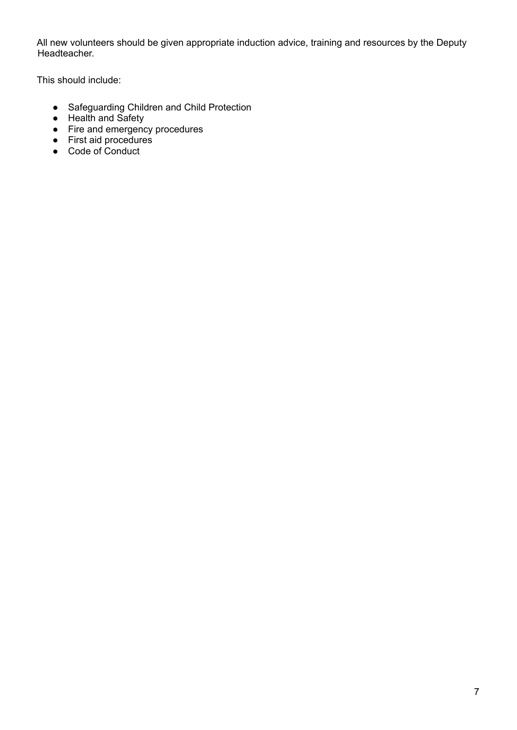All new volunteers should be given appropriate induction advice, training and resources by the Deputy Headteacher.

This should include:

- Safeguarding Children and Child Protection
- Health and Safety
- Fire and emergency procedures
- First aid procedures
- Code of Conduct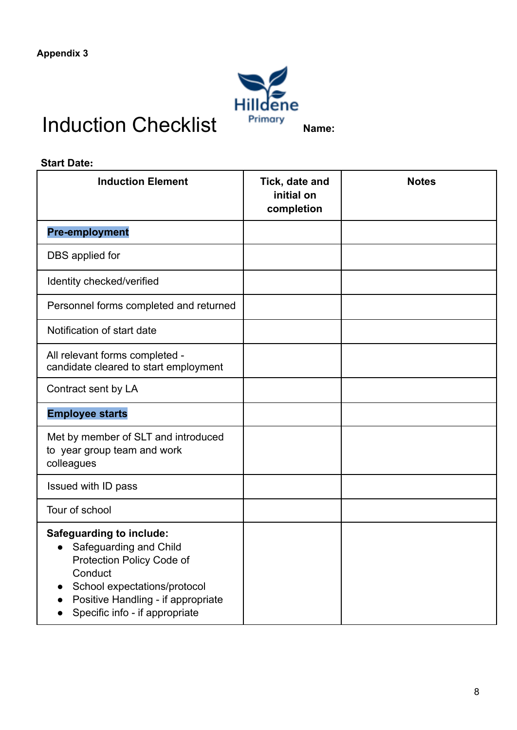

# Induction Checklist **Primary** Name:

| <b>Start Date:</b>                                                                                                                                                                                          |                                            |              |  |
|-------------------------------------------------------------------------------------------------------------------------------------------------------------------------------------------------------------|--------------------------------------------|--------------|--|
| <b>Induction Element</b>                                                                                                                                                                                    | Tick, date and<br>initial on<br>completion | <b>Notes</b> |  |
| <b>Pre-employment</b>                                                                                                                                                                                       |                                            |              |  |
| DBS applied for                                                                                                                                                                                             |                                            |              |  |
| Identity checked/verified                                                                                                                                                                                   |                                            |              |  |
| Personnel forms completed and returned                                                                                                                                                                      |                                            |              |  |
| Notification of start date                                                                                                                                                                                  |                                            |              |  |
| All relevant forms completed -<br>candidate cleared to start employment                                                                                                                                     |                                            |              |  |
| Contract sent by LA                                                                                                                                                                                         |                                            |              |  |
| <b>Employee starts</b>                                                                                                                                                                                      |                                            |              |  |
| Met by member of SLT and introduced<br>to year group team and work<br>colleagues                                                                                                                            |                                            |              |  |
| Issued with ID pass                                                                                                                                                                                         |                                            |              |  |
| Tour of school                                                                                                                                                                                              |                                            |              |  |
| <b>Safeguarding to include:</b><br>• Safeguarding and Child<br>Protection Policy Code of<br>Conduct<br>School expectations/protocol<br>Positive Handling - if appropriate<br>Specific info - if appropriate |                                            |              |  |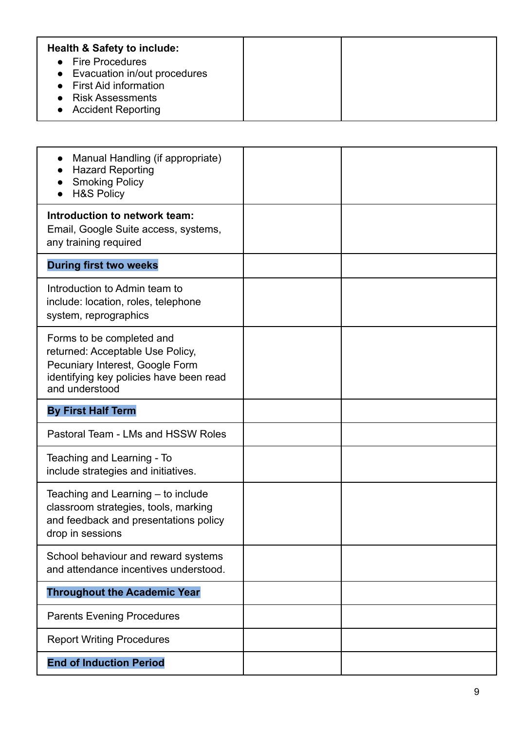| <b>Health &amp; Safety to include:</b><br>• Fire Procedures<br>• Evacuation in/out procedures<br>• First Aid information<br>• Risk Assessments |  |
|------------------------------------------------------------------------------------------------------------------------------------------------|--|
| • Accident Reporting                                                                                                                           |  |

| Manual Handling (if appropriate)<br>$\bullet$<br><b>Hazard Reporting</b><br><b>Smoking Policy</b><br><b>H&amp;S Policy</b>                                    |  |
|---------------------------------------------------------------------------------------------------------------------------------------------------------------|--|
| Introduction to network team:<br>Email, Google Suite access, systems,<br>any training required                                                                |  |
| <b>During first two weeks</b>                                                                                                                                 |  |
| Introduction to Admin team to<br>include: location, roles, telephone<br>system, reprographics                                                                 |  |
| Forms to be completed and<br>returned: Acceptable Use Policy,<br>Pecuniary Interest, Google Form<br>identifying key policies have been read<br>and understood |  |
| <b>By First Half Term</b>                                                                                                                                     |  |
| Pastoral Team - LMs and HSSW Roles                                                                                                                            |  |
| Teaching and Learning - To<br>include strategies and initiatives.                                                                                             |  |
| Teaching and Learning – to include<br>classroom strategies, tools, marking<br>and feedback and presentations policy<br>drop in sessions                       |  |
| School behaviour and reward systems<br>and attendance incentives understood.                                                                                  |  |
| <b>Throughout the Academic Year</b>                                                                                                                           |  |
| <b>Parents Evening Procedures</b>                                                                                                                             |  |
| <b>Report Writing Procedures</b>                                                                                                                              |  |
| <b>End of Induction Period</b>                                                                                                                                |  |